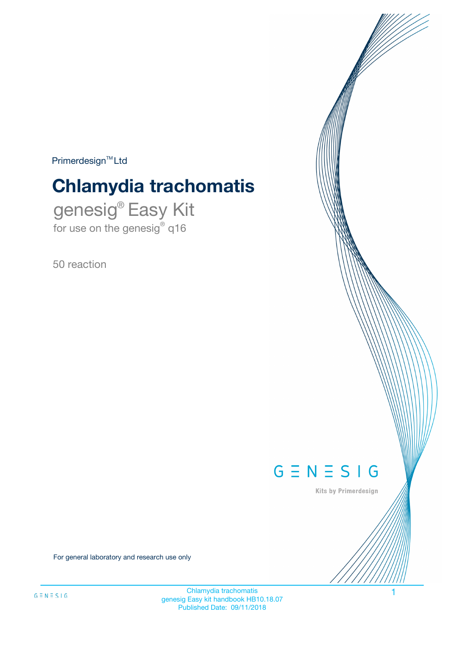$Primerdesign^{\text{TM}}Ltd$ 

# **Chlamydia trachomatis**

genesig® Easy Kit for use on the genesig® q16

50 reaction



Kits by Primerdesign

For general laboratory and research use only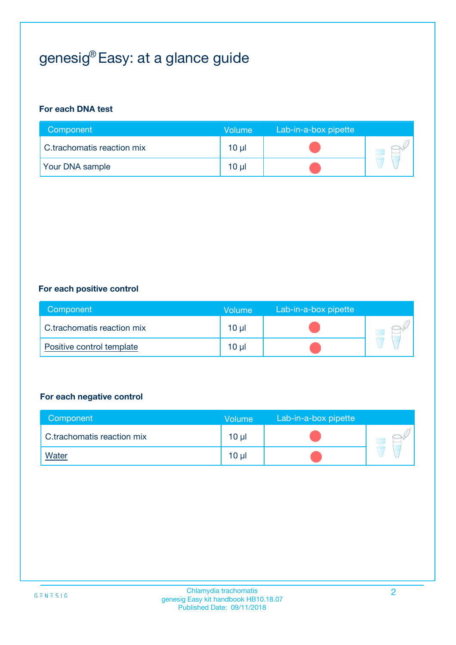## genesig® Easy: at a glance guide

#### **For each DNA test**

| Component                  | <b>Volume</b> | Lab-in-a-box pipette |  |
|----------------------------|---------------|----------------------|--|
| C.trachomatis reaction mix | 10 µl         |                      |  |
| <b>Your DNA sample</b>     | 10 µl         |                      |  |

#### **For each positive control**

| Component                  | Volume   | Lab-in-a-box pipette |  |
|----------------------------|----------|----------------------|--|
| C.trachomatis reaction mix | $10 \mu$ |                      |  |
| Positive control template  | $10 \mu$ |                      |  |

#### **For each negative control**

| Component                  | <b>Volume</b>   | Lab-in-a-box pipette |  |
|----------------------------|-----------------|----------------------|--|
| C.trachomatis reaction mix | 10 <sub>µ</sub> |                      |  |
| <u>Water</u>               | 10 <sub>µ</sub> |                      |  |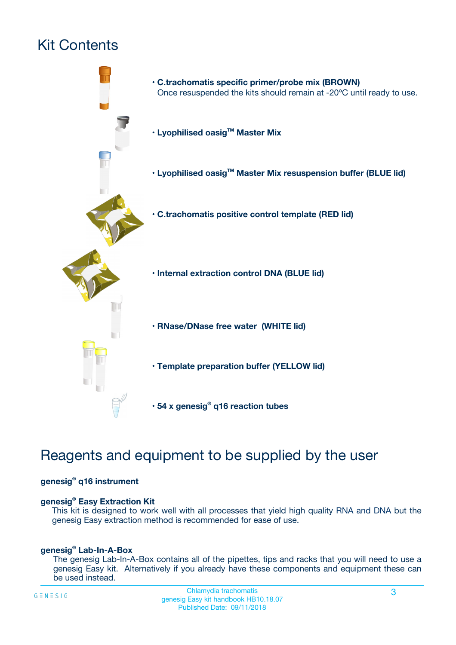## Kit Contents



## Reagents and equipment to be supplied by the user

#### **genesig® q16 instrument**

#### **genesig® Easy Extraction Kit**

This kit is designed to work well with all processes that yield high quality RNA and DNA but the genesig Easy extraction method is recommended for ease of use.

#### **genesig® Lab-In-A-Box**

The genesig Lab-In-A-Box contains all of the pipettes, tips and racks that you will need to use a genesig Easy kit. Alternatively if you already have these components and equipment these can be used instead.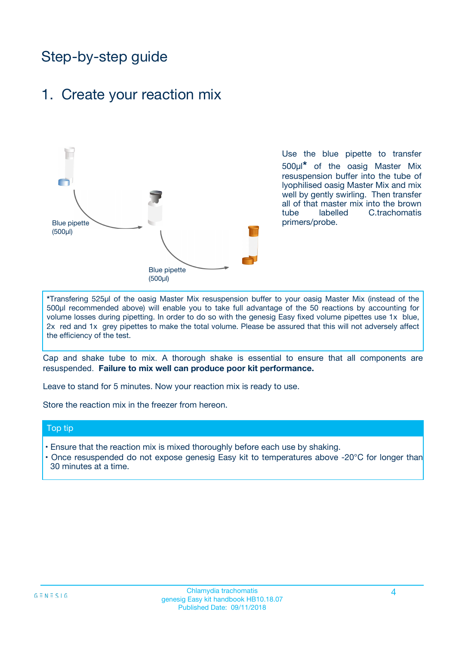## Step-by-step guide

### 1. Create your reaction mix



Use the blue pipette to transfer 500µl**\*** of the oasig Master Mix resuspension buffer into the tube of lyophilised oasig Master Mix and mix well by gently swirling. Then transfer all of that master mix into the brown tube labelled C.trachomatis primers/probe.

**\***Transfering 525µl of the oasig Master Mix resuspension buffer to your oasig Master Mix (instead of the 500µl recommended above) will enable you to take full advantage of the 50 reactions by accounting for volume losses during pipetting. In order to do so with the genesig Easy fixed volume pipettes use 1x blue, 2x red and 1x grey pipettes to make the total volume. Please be assured that this will not adversely affect the efficiency of the test.

Cap and shake tube to mix. A thorough shake is essential to ensure that all components are resuspended. **Failure to mix well can produce poor kit performance.**

Leave to stand for 5 minutes. Now your reaction mix is ready to use.

Store the reaction mix in the freezer from hereon.

#### Top tip

- Ensure that the reaction mix is mixed thoroughly before each use by shaking.
- **•** Once resuspended do not expose genesig Easy kit to temperatures above -20°C for longer than 30 minutes at a time.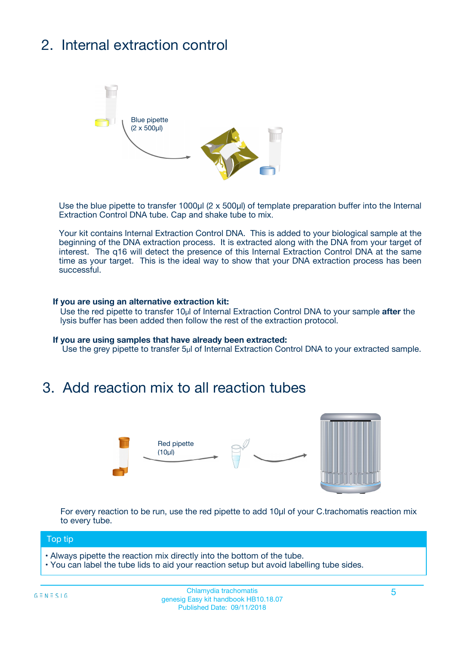## 2. Internal extraction control



Use the blue pipette to transfer 1000µl (2 x 500µl) of template preparation buffer into the Internal Extraction Control DNA tube. Cap and shake tube to mix.

Your kit contains Internal Extraction Control DNA. This is added to your biological sample at the beginning of the DNA extraction process. It is extracted along with the DNA from your target of interest. The q16 will detect the presence of this Internal Extraction Control DNA at the same time as your target. This is the ideal way to show that your DNA extraction process has been **successful.** 

#### **If you are using an alternative extraction kit:**

Use the red pipette to transfer 10µl of Internal Extraction Control DNA to your sample **after** the lysis buffer has been added then follow the rest of the extraction protocol.

#### **If you are using samples that have already been extracted:**

Use the grey pipette to transfer 5µl of Internal Extraction Control DNA to your extracted sample.

### 3. Add reaction mix to all reaction tubes



For every reaction to be run, use the red pipette to add 10µl of your C.trachomatis reaction mix to every tube.

#### Top tip

- Always pipette the reaction mix directly into the bottom of the tube.
- You can label the tube lids to aid your reaction setup but avoid labelling tube sides.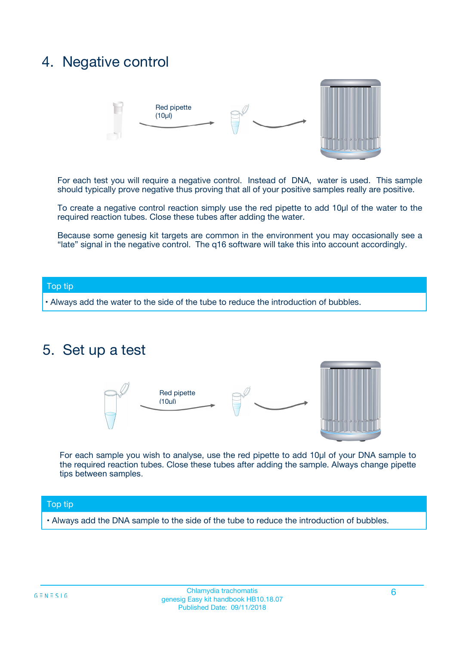### 4. Negative control



For each test you will require a negative control. Instead of DNA, water is used. This sample should typically prove negative thus proving that all of your positive samples really are positive.

To create a negative control reaction simply use the red pipette to add 10µl of the water to the required reaction tubes. Close these tubes after adding the water.

Because some genesig kit targets are common in the environment you may occasionally see a "late" signal in the negative control. The q16 software will take this into account accordingly.

#### Top tip

**•** Always add the water to the side of the tube to reduce the introduction of bubbles.

### 5. Set up a test



For each sample you wish to analyse, use the red pipette to add 10µl of your DNA sample to the required reaction tubes. Close these tubes after adding the sample. Always change pipette tips between samples.

#### Top tip

**•** Always add the DNA sample to the side of the tube to reduce the introduction of bubbles.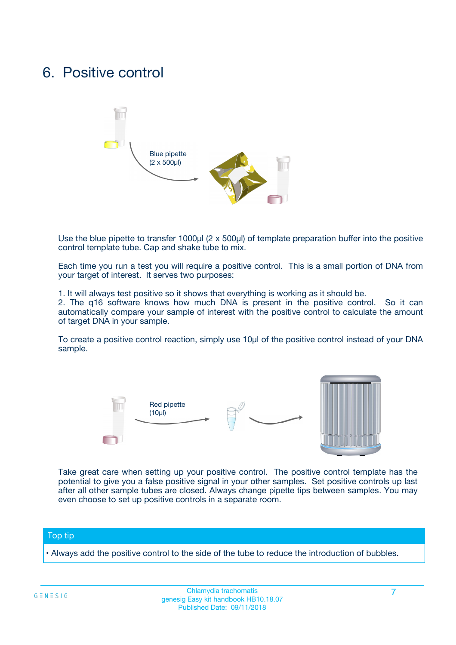### 6. Positive control



Use the blue pipette to transfer 1000µl (2 x 500µl) of template preparation buffer into the positive control template tube. Cap and shake tube to mix.

Each time you run a test you will require a positive control. This is a small portion of DNA from your target of interest. It serves two purposes:

1. It will always test positive so it shows that everything is working as it should be.

2. The q16 software knows how much DNA is present in the positive control. So it can automatically compare your sample of interest with the positive control to calculate the amount of target DNA in your sample.

To create a positive control reaction, simply use 10µl of the positive control instead of your DNA sample.



Take great care when setting up your positive control. The positive control template has the potential to give you a false positive signal in your other samples. Set positive controls up last after all other sample tubes are closed. Always change pipette tips between samples. You may even choose to set up positive controls in a separate room.

#### Top tip

**•** Always add the positive control to the side of the tube to reduce the introduction of bubbles.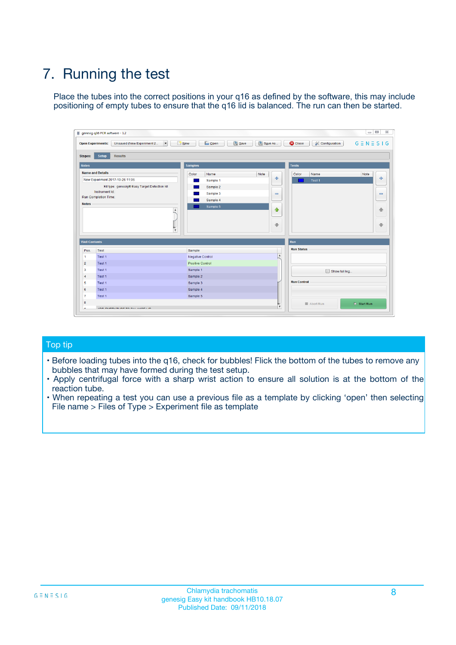## 7. Running the test

Place the tubes into the correct positions in your q16 as defined by the software, this may include positioning of empty tubes to ensure that the q16 lid is balanced. The run can then be started.

| genesig q16 PCR software - 1.2                                               |                                     | $\Box$                                                                                  |
|------------------------------------------------------------------------------|-------------------------------------|-----------------------------------------------------------------------------------------|
| Unsaved (New Experiment 2<br>$\vert \cdot \vert$<br><b>Open Experiments:</b> | <b>D</b> Open<br>Save<br>$\Box$ New | Save As<br><b>C</b> Close<br>$G \equiv N \equiv S \mid G$<br><b>&amp; Configuration</b> |
| Setup<br><b>Results</b><br><b>Stages:</b>                                    |                                     |                                                                                         |
| <b>Notes</b>                                                                 | Samples                             | <b>Tests</b>                                                                            |
| <b>Name and Details</b>                                                      | Color<br>Name                       | Note<br>Color<br>Note<br>Name                                                           |
| New Experiment 2017-10-26 11:06                                              | Sample 1                            | ع<br>条<br>Test 1                                                                        |
| Kit type: genesig® Easy Target Detection kit                                 | Sample 2                            |                                                                                         |
| Instrument Id.:                                                              | Sample 3                            | $\qquad \qquad \blacksquare$<br>$\qquad \qquad \blacksquare$                            |
| Run Completion Time:                                                         | Sample 4                            |                                                                                         |
| <b>Notes</b>                                                                 | Sample 5<br>A<br>v                  | $\triangle$<br>4<br>$\oplus$<br>₩                                                       |
| <b>Well Contents</b>                                                         |                                     | <b>Run</b>                                                                              |
| Pos.<br>Test                                                                 | Sample                              | <b>Run Status</b>                                                                       |
| Test 1<br>-1                                                                 | <b>Negative Control</b>             | $\blacktriangle$                                                                        |
| $\overline{2}$<br>Test 1                                                     | <b>Positive Control</b>             |                                                                                         |
| $\overline{\mathbf{3}}$<br>Test 1                                            | Sample 1                            | Show full log                                                                           |
| Test 1<br>$\overline{4}$                                                     | Sample 2                            |                                                                                         |
| 5<br>Test 1                                                                  | Sample 3                            | <b>Run Control</b>                                                                      |
| 6<br>Test 1                                                                  | Sample 4                            |                                                                                         |
| $\overline{7}$<br>Test 1                                                     | Sample 5                            |                                                                                         |
| 8                                                                            |                                     | $\triangleright$ Start Run<br>Abort Run                                                 |
| <b>JOD FURTY TUDE TO BUILDED IN</b>                                          |                                     | $\overline{\mathbf{v}}$                                                                 |

#### Top tip

- Before loading tubes into the q16, check for bubbles! Flick the bottom of the tubes to remove any bubbles that may have formed during the test setup.
- Apply centrifugal force with a sharp wrist action to ensure all solution is at the bottom of the reaction tube.
- When repeating a test you can use a previous file as a template by clicking 'open' then selecting File name > Files of Type > Experiment file as template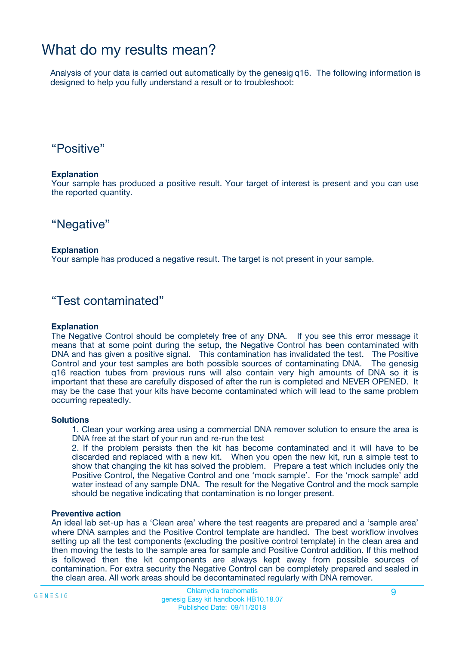### What do my results mean?

Analysis of your data is carried out automatically by the genesig q16. The following information is designed to help you fully understand a result or to troubleshoot:

### "Positive"

#### **Explanation**

Your sample has produced a positive result. Your target of interest is present and you can use the reported quantity.

"Negative"

#### **Explanation**

Your sample has produced a negative result. The target is not present in your sample.

### "Test contaminated"

#### **Explanation**

The Negative Control should be completely free of any DNA. If you see this error message it means that at some point during the setup, the Negative Control has been contaminated with DNA and has given a positive signal. This contamination has invalidated the test. The Positive Control and your test samples are both possible sources of contaminating DNA. The genesig q16 reaction tubes from previous runs will also contain very high amounts of DNA so it is important that these are carefully disposed of after the run is completed and NEVER OPENED. It may be the case that your kits have become contaminated which will lead to the same problem occurring repeatedly.

#### **Solutions**

1. Clean your working area using a commercial DNA remover solution to ensure the area is DNA free at the start of your run and re-run the test

2. If the problem persists then the kit has become contaminated and it will have to be discarded and replaced with a new kit. When you open the new kit, run a simple test to show that changing the kit has solved the problem. Prepare a test which includes only the Positive Control, the Negative Control and one 'mock sample'. For the 'mock sample' add water instead of any sample DNA. The result for the Negative Control and the mock sample should be negative indicating that contamination is no longer present.

#### **Preventive action**

An ideal lab set-up has a 'Clean area' where the test reagents are prepared and a 'sample area' where DNA samples and the Positive Control template are handled. The best workflow involves setting up all the test components (excluding the positive control template) in the clean area and then moving the tests to the sample area for sample and Positive Control addition. If this method is followed then the kit components are always kept away from possible sources of contamination. For extra security the Negative Control can be completely prepared and sealed in the clean area. All work areas should be decontaminated regularly with DNA remover.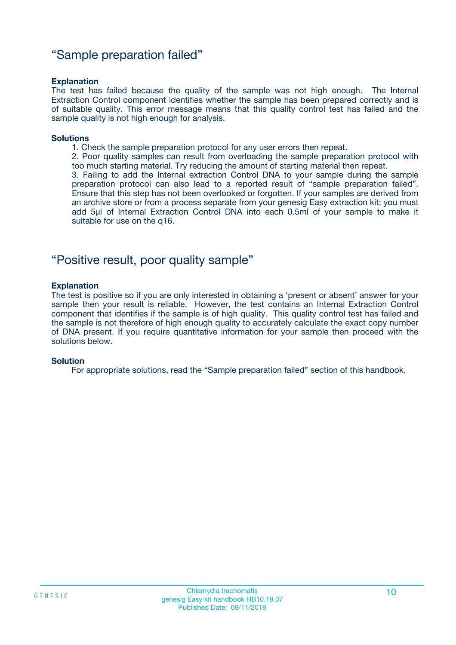### "Sample preparation failed"

#### **Explanation**

The test has failed because the quality of the sample was not high enough. The Internal Extraction Control component identifies whether the sample has been prepared correctly and is of suitable quality. This error message means that this quality control test has failed and the sample quality is not high enough for analysis.

#### **Solutions**

1. Check the sample preparation protocol for any user errors then repeat.

2. Poor quality samples can result from overloading the sample preparation protocol with too much starting material. Try reducing the amount of starting material then repeat.

3. Failing to add the Internal extraction Control DNA to your sample during the sample preparation protocol can also lead to a reported result of "sample preparation failed". Ensure that this step has not been overlooked or forgotten. If your samples are derived from an archive store or from a process separate from your genesig Easy extraction kit; you must add 5µl of Internal Extraction Control DNA into each 0.5ml of your sample to make it suitable for use on the q16.

### "Positive result, poor quality sample"

#### **Explanation**

The test is positive so if you are only interested in obtaining a 'present or absent' answer for your sample then your result is reliable. However, the test contains an Internal Extraction Control component that identifies if the sample is of high quality. This quality control test has failed and the sample is not therefore of high enough quality to accurately calculate the exact copy number of DNA present. If you require quantitative information for your sample then proceed with the solutions below.

#### **Solution**

For appropriate solutions, read the "Sample preparation failed" section of this handbook.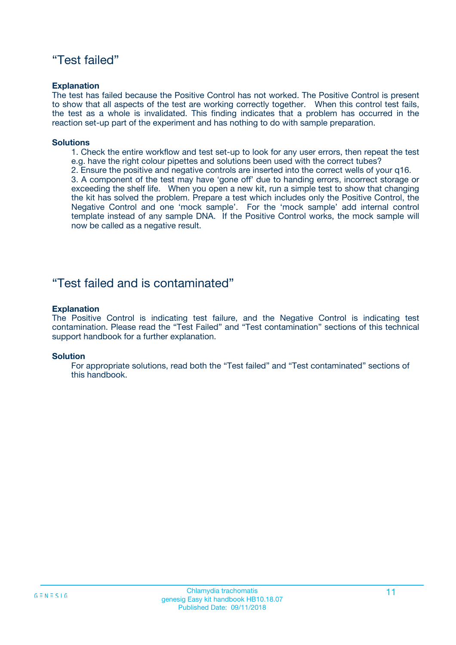### "Test failed"

#### **Explanation**

The test has failed because the Positive Control has not worked. The Positive Control is present to show that all aspects of the test are working correctly together. When this control test fails, the test as a whole is invalidated. This finding indicates that a problem has occurred in the reaction set-up part of the experiment and has nothing to do with sample preparation.

#### **Solutions**

- 1. Check the entire workflow and test set-up to look for any user errors, then repeat the test e.g. have the right colour pipettes and solutions been used with the correct tubes?
- 2. Ensure the positive and negative controls are inserted into the correct wells of your q16.

3. A component of the test may have 'gone off' due to handing errors, incorrect storage or exceeding the shelf life. When you open a new kit, run a simple test to show that changing the kit has solved the problem. Prepare a test which includes only the Positive Control, the Negative Control and one 'mock sample'. For the 'mock sample' add internal control template instead of any sample DNA. If the Positive Control works, the mock sample will now be called as a negative result.

### "Test failed and is contaminated"

#### **Explanation**

The Positive Control is indicating test failure, and the Negative Control is indicating test contamination. Please read the "Test Failed" and "Test contamination" sections of this technical support handbook for a further explanation.

#### **Solution**

For appropriate solutions, read both the "Test failed" and "Test contaminated" sections of this handbook.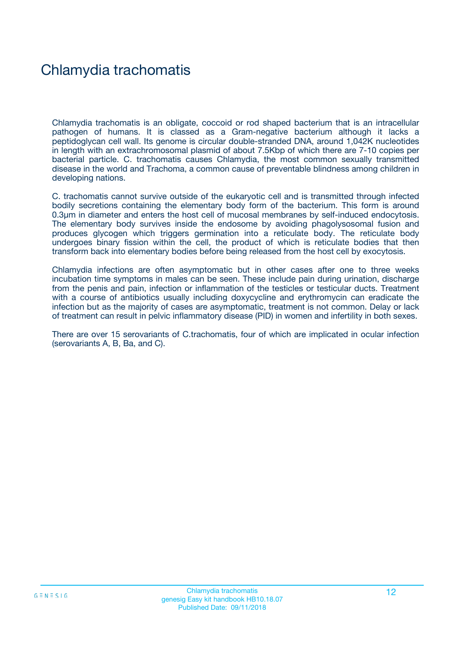## Chlamydia trachomatis

Chlamydia trachomatis is an obligate, coccoid or rod shaped bacterium that is an intracellular pathogen of humans. It is classed as a Gram-negative bacterium although it lacks a peptidoglycan cell wall. Its genome is circular double-stranded DNA, around 1,042K nucleotides in length with an extrachromosomal plasmid of about 7.5Kbp of which there are 7-10 copies per bacterial particle. C. trachomatis causes Chlamydia, the most common sexually transmitted disease in the world and Trachoma, a common cause of preventable blindness among children in developing nations.

C. trachomatis cannot survive outside of the eukaryotic cell and is transmitted through infected bodily secretions containing the elementary body form of the bacterium. This form is around 0.3um in diameter and enters the host cell of mucosal membranes by self-induced endocytosis. The elementary body survives inside the endosome by avoiding phagolysosomal fusion and produces glycogen which triggers germination into a reticulate body. The reticulate body undergoes binary fission within the cell, the product of which is reticulate bodies that then transform back into elementary bodies before being released from the host cell by exocytosis.

Chlamydia infections are often asymptomatic but in other cases after one to three weeks incubation time symptoms in males can be seen. These include pain during urination, discharge from the penis and pain, infection or inflammation of the testicles or testicular ducts. Treatment with a course of antibiotics usually including doxycycline and erythromycin can eradicate the infection but as the majority of cases are asymptomatic, treatment is not common. Delay or lack of treatment can result in pelvic inflammatory disease (PID) in women and infertility in both sexes.

There are over 15 serovariants of C.trachomatis, four of which are implicated in ocular infection (serovariants A, B, Ba, and C).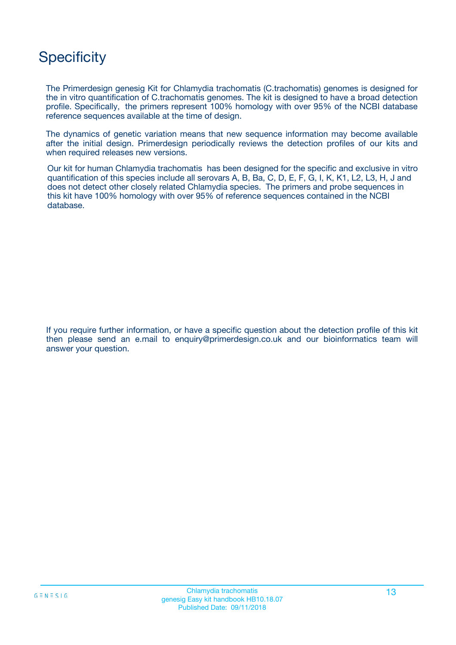## **Specificity**

The Primerdesign genesig Kit for Chlamydia trachomatis (C.trachomatis) genomes is designed for the in vitro quantification of C.trachomatis genomes. The kit is designed to have a broad detection profile. Specifically, the primers represent 100% homology with over 95% of the NCBI database reference sequences available at the time of design.

The dynamics of genetic variation means that new sequence information may become available after the initial design. Primerdesign periodically reviews the detection profiles of our kits and when required releases new versions.

Our kit for human Chlamydia trachomatis has been designed for the specific and exclusive in vitro quantification of this species include all serovars A, B, Ba, C, D, E, F, G, I, K, K1, L2, L3, H, J and does not detect other closely related Chlamydia species. The primers and probe sequences in this kit have 100% homology with over 95% of reference sequences contained in the NCBI database.

If you require further information, or have a specific question about the detection profile of this kit then please send an e.mail to enquiry@primerdesign.co.uk and our bioinformatics team will answer your question.